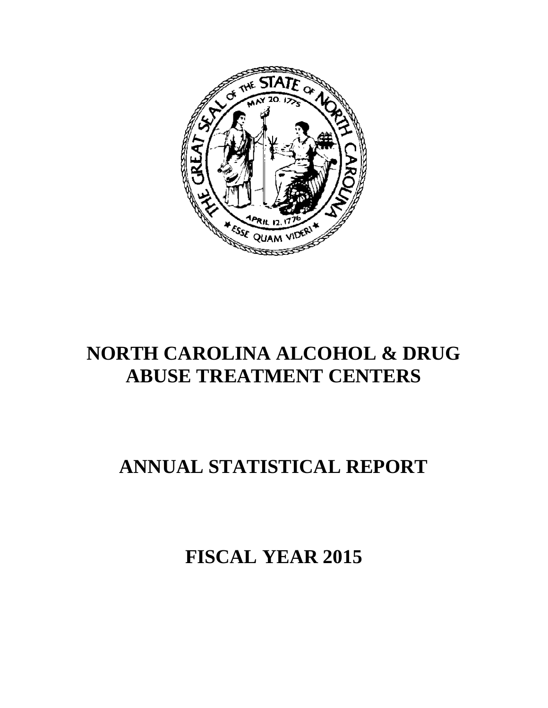

# **NORTH CAROLINA ALCOHOL & DRUG ABUSE TREATMENT CENTERS**

# **ANNUAL STATISTICAL REPORT**

**FISCAL YEAR 2015**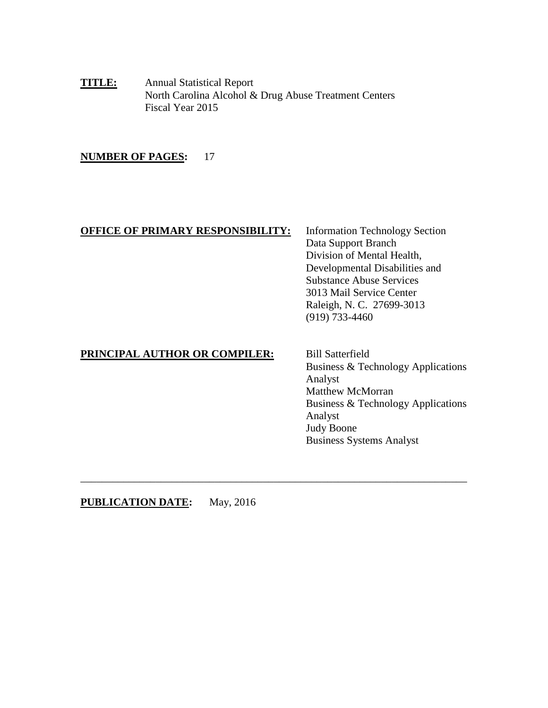**TITLE:** Annual Statistical Report North Carolina Alcohol & Drug Abuse Treatment Centers Fiscal Year 2015

#### **NUMBER OF PAGES:** 17

#### **OFFICE OF PRIMARY RESPONSIBILITY:** Information Technology Section

Data Support Branch Division of Mental Health, Developmental Disabilities and Substance Abuse Services 3013 Mail Service Center Raleigh, N. C. 27699-3013 (919) 733-4460

#### **PRINCIPAL AUTHOR OR COMPILER:** Bill Satterfield

Business & Technology Applications Analyst Matthew McMorran Business & Technology Applications Analyst Judy Boone Business Systems Analyst

**PUBLICATION DATE:** May, 2016

\_\_\_\_\_\_\_\_\_\_\_\_\_\_\_\_\_\_\_\_\_\_\_\_\_\_\_\_\_\_\_\_\_\_\_\_\_\_\_\_\_\_\_\_\_\_\_\_\_\_\_\_\_\_\_\_\_\_\_\_\_\_\_\_\_\_\_\_\_\_\_\_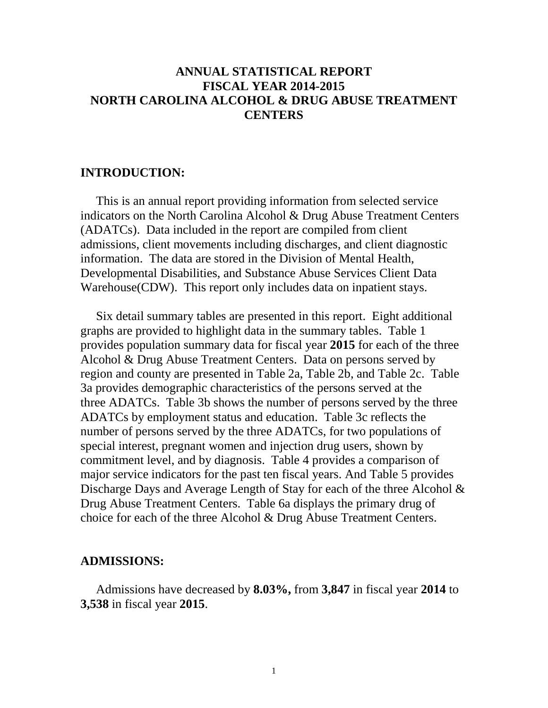# **ANNUAL STATISTICAL REPORT FISCAL YEAR 2014-2015 NORTH CAROLINA ALCOHOL & DRUG ABUSE TREATMENT CENTERS**

#### **INTRODUCTION:**

This is an annual report providing information from selected service indicators on the North Carolina Alcohol & Drug Abuse Treatment Centers (ADATCs). Data included in the report are compiled from client admissions, client movements including discharges, and client diagnostic information. The data are stored in the Division of Mental Health, Developmental Disabilities, and Substance Abuse Services Client Data Warehouse(CDW). This report only includes data on inpatient stays.

 Six detail summary tables are presented in this report. Eight additional graphs are provided to highlight data in the summary tables. Table 1 provides population summary data for fiscal year **2015** for each of the three Alcohol & Drug Abuse Treatment Centers. Data on persons served by region and county are presented in Table 2a, Table 2b, and Table 2c. Table 3a provides demographic characteristics of the persons served at the three ADATCs. Table 3b shows the number of persons served by the three ADATCs by employment status and education. Table 3c reflects the number of persons served by the three ADATCs, for two populations of special interest, pregnant women and injection drug users, shown by commitment level, and by diagnosis. Table 4 provides a comparison of major service indicators for the past ten fiscal years. And Table 5 provides Discharge Days and Average Length of Stay for each of the three Alcohol & Drug Abuse Treatment Centers. Table 6a displays the primary drug of choice for each of the three Alcohol & Drug Abuse Treatment Centers.

#### **ADMISSIONS:**

 Admissions have decreased by **8.03%,** from **3,847** in fiscal year **2014** to **3,538** in fiscal year **2015**.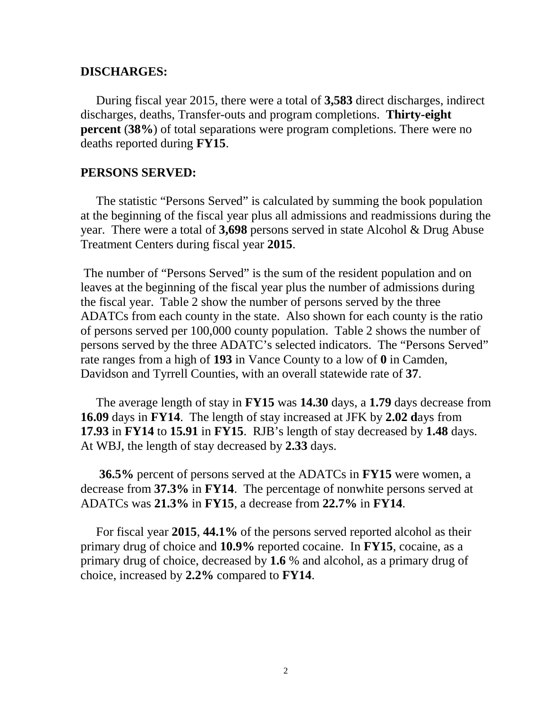#### **DISCHARGES:**

 During fiscal year 2015, there were a total of **3,583** direct discharges, indirect discharges, deaths, Transfer-outs and program completions. **Thirty-eight percent** (**38%**) of total separations were program completions. There were no deaths reported during **FY15**.

### **PERSONS SERVED:**

 The statistic "Persons Served" is calculated by summing the book population at the beginning of the fiscal year plus all admissions and readmissions during the year. There were a total of **3,698** persons served in state Alcohol & Drug Abuse Treatment Centers during fiscal year **2015**.

The number of "Persons Served" is the sum of the resident population and on leaves at the beginning of the fiscal year plus the number of admissions during the fiscal year. Table 2 show the number of persons served by the three ADATCs from each county in the state. Also shown for each county is the ratio of persons served per 100,000 county population. Table 2 shows the number of persons served by the three ADATC's selected indicators. The "Persons Served" rate ranges from a high of **193** in Vance County to a low of **0** in Camden, Davidson and Tyrrell Counties, with an overall statewide rate of **37**.

 The average length of stay in **FY15** was **14.30** days, a **1.79** days decrease from **16.09** days in **FY14**. The length of stay increased at JFK by **2.02 d**ays from **17.93** in **FY14** to **15.91** in **FY15**. RJB's length of stay decreased by **1.48** days. At WBJ, the length of stay decreased by **2.33** days.

 **36.5%** percent of persons served at the ADATCs in **FY15** were women, a decrease from **37.3%** in **FY14**. The percentage of nonwhite persons served at ADATCs was **21.3%** in **FY15**, a decrease from **22.7%** in **FY14**.

 For fiscal year **2015**, **44.1%** of the persons served reported alcohol as their primary drug of choice and **10.9%** reported cocaine. In **FY15**, cocaine, as a primary drug of choice, decreased by **1.6** % and alcohol, as a primary drug of choice, increased by **2.2%** compared to **FY14**.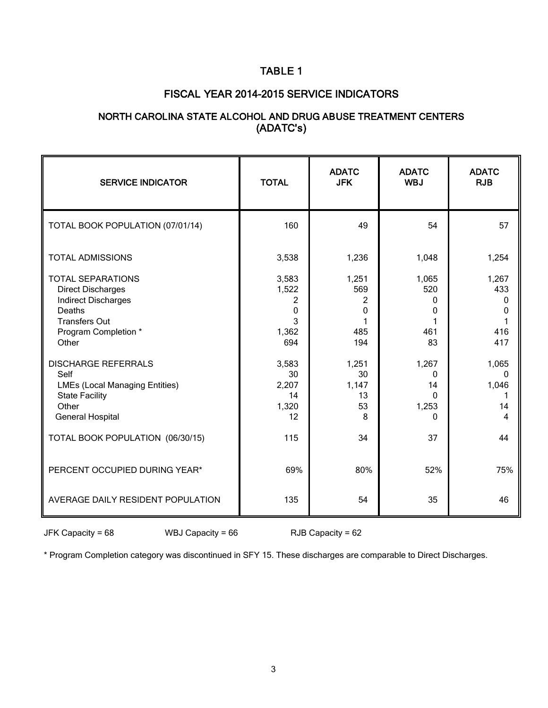## TABLE 1

#### FISCAL YEAR 2014-2015 SERVICE INDICATORS

### NORTH CAROLINA STATE ALCOHOL AND DRUG ABUSE TREATMENT CENTERS (ADATC's)

| <b>SERVICE INDICATOR</b>                                                                                                                                                                                                                                      | <b>TOTAL</b>                                                                | <b>ADATC</b><br><b>JFK</b>                                         | <b>ADATC</b><br><b>WBJ</b>                                                 | <b>ADATC</b><br><b>RJB</b>                                         |
|---------------------------------------------------------------------------------------------------------------------------------------------------------------------------------------------------------------------------------------------------------------|-----------------------------------------------------------------------------|--------------------------------------------------------------------|----------------------------------------------------------------------------|--------------------------------------------------------------------|
| TOTAL BOOK POPULATION (07/01/14)                                                                                                                                                                                                                              | 160                                                                         | 49                                                                 | 54                                                                         | 57                                                                 |
| <b>TOTAL ADMISSIONS</b>                                                                                                                                                                                                                                       | 3,538                                                                       | 1,236                                                              | 1,048                                                                      | 1,254                                                              |
| <b>TOTAL SEPARATIONS</b><br><b>Direct Discharges</b><br><b>Indirect Discharges</b><br>Deaths<br><b>Transfers Out</b><br>Program Completion *<br>Other<br><b>DISCHARGE REFERRALS</b><br>Self<br><b>LMEs (Local Managing Entities)</b><br><b>State Facility</b> | 3,583<br>1,522<br>2<br>0<br>3<br>1,362<br>694<br>3,583<br>30<br>2,207<br>14 | 1,251<br>569<br>2<br>0<br>485<br>194<br>1,251<br>30<br>1,147<br>13 | 1,065<br>520<br>0<br>0<br>461<br>83<br>1,267<br>$\Omega$<br>14<br>$\Omega$ | 1,267<br>433<br>0<br>$\Omega$<br>416<br>417<br>1,065<br>0<br>1,046 |
| Other<br><b>General Hospital</b>                                                                                                                                                                                                                              | 1,320<br>12                                                                 | 53<br>8                                                            | 1,253<br>0                                                                 | 14<br>4                                                            |
| TOTAL BOOK POPULATION (06/30/15)                                                                                                                                                                                                                              | 115                                                                         | 34                                                                 | 37                                                                         | 44                                                                 |
| PERCENT OCCUPIED DURING YEAR*                                                                                                                                                                                                                                 | 69%                                                                         | 80%                                                                | 52%                                                                        | 75%                                                                |
| AVERAGE DAILY RESIDENT POPULATION                                                                                                                                                                                                                             | 135                                                                         | 54                                                                 | 35                                                                         | 46                                                                 |

 $JFK Capacity = 68$  WBJ Capacity = 66 RJB Capacity = 62

\* Program Completion category was discontinued in SFY 15. These discharges are comparable to Direct Discharges.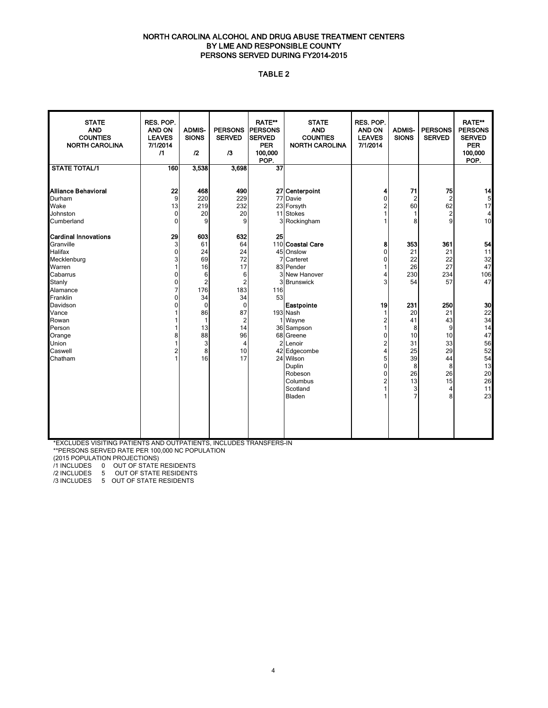#### NORTH CAROLINA ALCOHOL AND DRUG ABUSE TREATMENT CENTERS BY LME AND RESPONSIBLE COUNTY PERSONS SERVED DURING FY2014-2015

#### TABLE 2

| <b>STATE</b><br><b>AND</b><br><b>COUNTIES</b><br><b>NORTH CAROLINA</b>                                | RES. POP.<br><b>AND ON</b><br><b>LEAVES</b><br>7/1/2014<br>$\sqrt{1}$ | <b>ADMIS-</b><br><b>SIONS</b><br>$\mathbf{r}$                              | <b>PERSONS</b><br><b>SERVED</b><br>$\sqrt{3}$                                 | <b>RATE**</b><br><b>PERSONS</b><br><b>SERVED</b><br><b>PER</b><br>100,000<br>POP. | <b>STATE</b><br><b>AND</b><br><b>COUNTIES</b><br><b>NORTH CAROLINA</b>                                                               | RES. POP.<br><b>AND ON</b><br><b>LEAVES</b><br>7/1/2014        | <b>ADMIS-</b><br><b>SIONS</b>                                 | <b>PERSONS</b><br><b>SERVED</b>                               | <b>RATE**</b><br><b>PERSONS</b><br><b>SERVED</b><br><b>PER</b><br>100,000<br>POP. |
|-------------------------------------------------------------------------------------------------------|-----------------------------------------------------------------------|----------------------------------------------------------------------------|-------------------------------------------------------------------------------|-----------------------------------------------------------------------------------|--------------------------------------------------------------------------------------------------------------------------------------|----------------------------------------------------------------|---------------------------------------------------------------|---------------------------------------------------------------|-----------------------------------------------------------------------------------|
| <b>STATE TOTAL/1</b>                                                                                  | 160                                                                   | 3,538                                                                      | 3,698                                                                         | $\overline{37}$                                                                   |                                                                                                                                      |                                                                |                                                               |                                                               |                                                                                   |
| Alliance Behavioral<br>Durham<br>Wake<br>Johnston<br>Cumberland                                       | 22<br>9<br>13<br>$\mathbf 0$<br>0                                     | 468<br>220<br>219<br>20<br>9                                               | 490<br>229<br>232<br>20<br>9                                                  |                                                                                   | 27 Centerpoint<br>77 Davie<br>23 Forsyth<br>11 Stokes<br>3 Rockingham                                                                | 4<br>0<br>2<br>1<br>1                                          | 71<br>$\overline{2}$<br>60<br>1<br>8                          | 75<br>$\overline{c}$<br>62<br>$\overline{c}$<br>9             | 14<br>5<br>17<br>4<br>10                                                          |
| <b>Cardinal Innovations</b><br>Granville<br>Halifax<br>Mecklenburg<br>Warren<br>Cabarrus<br>Stanly    | 29<br>3<br>0<br>3<br>$\Omega$<br>0                                    | 603<br>61<br>24<br>69<br>16<br>6<br>$\overline{2}$                         | 632<br>64<br>24<br>72<br>17<br>6<br>2                                         | 25<br>3                                                                           | 110 Coastal Care<br>45 Onslow<br>Carteret<br>83 Pender<br>3 New Hanover<br><b>Brunswick</b>                                          | 8<br>0<br>0<br>$\mathbf{1}$<br>4<br>3                          | 353<br>21<br>22<br>26<br>230<br>54                            | 361<br>21<br>22<br>27<br>234<br>57                            | 54<br>11<br>32<br>47<br>106<br>47                                                 |
| Alamance<br>Franklin<br>Davidson<br>Vance<br>Rowan<br>Person<br>Orange<br>Union<br>Caswell<br>Chatham | 7<br>0<br>$\Omega$<br>1<br>8<br>$\overline{2}$<br>1                   | 176<br>34<br>$\mathbf 0$<br>86<br>$\mathbf{1}$<br>13<br>88<br>3<br>8<br>16 | 183<br>34<br>$\mathbf 0$<br>87<br>2<br>14<br>96<br>$\overline{4}$<br>10<br>17 | 116<br>53<br>$\overline{2}$                                                       | Eastpointe<br>193 Nash<br>1 Wayne<br>36 Sampson<br>68 Greene<br>Lenoir<br>42 Edgecombe<br>24 Wilson<br>Duplin<br>Robeson<br>Columbus | 19<br>1<br>$\mathbf 2$<br>1<br>0<br>2<br>4<br>5<br>0<br>0<br>2 | 231<br>20<br>41<br>8<br>10<br>31<br>25<br>39<br>8<br>26<br>13 | 250<br>21<br>43<br>9<br>10<br>33<br>29<br>44<br>8<br>26<br>15 | 30<br>22<br>34<br>14<br>47<br>56<br>52<br>54<br>13<br>20<br>26                    |
|                                                                                                       |                                                                       |                                                                            |                                                                               |                                                                                   | Scotland<br>Bladen                                                                                                                   | $\mathbf{1}$<br>1                                              | 3<br>7                                                        | 4<br>8                                                        | 11<br>23                                                                          |

 \*EXCLUDES VISITING PATIENTS AND OUTPATIENTS, INCLUDES TRANSFERS-IN \*\*PERSONS SERVED RATE PER 100,000 NC POPULATION

(2015 POPULATION PROJECTIONS)

/1 INCLUDES 0 OUT OF STATE RESIDENTS

/2 INCLUDES 5 OUT OF STATE RESIDENTS

/3 INCLUDES 5 OUT OF STATE RESIDENTS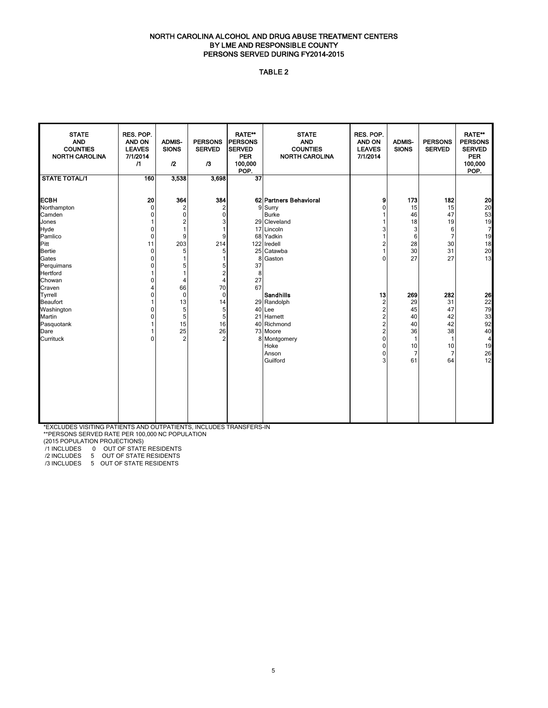#### NORTH CAROLINA ALCOHOL AND DRUG ABUSE TREATMENT CENTERS BY LME AND RESPONSIBLE COUNTY PERSONS SERVED DURING FY2014-2015

#### TABLE 2

| <b>STATE</b><br>RES. POP.<br><b>RATE**</b><br><b>STATE</b><br>RES. POP.<br><b>AND</b><br>AND ON<br><b>ADMIS-</b><br><b>PERSONS</b><br><b>IPERSONS</b><br><b>AND</b><br>AND ON<br><b>ADMIS-</b><br><b>PERSONS</b><br><b>COUNTIES</b><br><b>LEAVES</b><br><b>SIONS</b><br><b>SERVED</b><br><b>COUNTIES</b><br><b>LEAVES</b><br><b>SIONS</b><br><b>SERVED</b><br><b>SERVED</b><br><b>NORTH CAROLINA</b><br>7/1/2014<br><b>PER</b><br><b>NORTH CAROLINA</b><br>7/1/2014<br>$\sqrt{1}$<br>$\mathbf{r}$<br>$\sqrt{3}$<br>100,000<br>POP. | <b>RATE**</b><br><b>PERSONS</b><br><b>SERVED</b><br><b>PER</b><br>100,000<br>POP. |
|------------------------------------------------------------------------------------------------------------------------------------------------------------------------------------------------------------------------------------------------------------------------------------------------------------------------------------------------------------------------------------------------------------------------------------------------------------------------------------------------------------------------------------|-----------------------------------------------------------------------------------|
| <b>STATE TOTAL/1</b><br>160<br>3,538<br>$\overline{37}$<br>3,698                                                                                                                                                                                                                                                                                                                                                                                                                                                                   |                                                                                   |
| 20<br>ЕСВН<br>364<br>384<br>173<br>62 Partners Behavioral<br>9                                                                                                                                                                                                                                                                                                                                                                                                                                                                     | 20<br>182                                                                         |
| $\overline{2}$<br>9 Surry<br>15<br>Northampton<br>$\Omega$<br>2<br>0                                                                                                                                                                                                                                                                                                                                                                                                                                                               | 20<br>15                                                                          |
| $\pmb{0}$<br>$\mathbf 0$<br><b>Burke</b><br>46<br>Camden<br>0                                                                                                                                                                                                                                                                                                                                                                                                                                                                      | 53<br>47                                                                          |
| 2<br>29 Cleveland<br>18<br>Jones<br>3<br>1                                                                                                                                                                                                                                                                                                                                                                                                                                                                                         | 19<br>19                                                                          |
| Hyde<br>$\mathbf{1}$<br>17 Lincoln<br>3<br>$\mathbf 0$<br>1<br>3                                                                                                                                                                                                                                                                                                                                                                                                                                                                   | $\overline{7}$<br>6                                                               |
| Pamlico<br>9<br>9<br>68 Yadkin<br>6<br>$\mathbf 0$                                                                                                                                                                                                                                                                                                                                                                                                                                                                                 | 7<br>19                                                                           |
| 11<br>203<br>214<br>28<br>Pitt<br>122 Iredell<br>2                                                                                                                                                                                                                                                                                                                                                                                                                                                                                 | 18<br>30                                                                          |
| 30<br>$\mathbf 0$<br>5<br>5<br>25 Catawba<br><b>Bertie</b>                                                                                                                                                                                                                                                                                                                                                                                                                                                                         | 20<br>31                                                                          |
| Gates<br>27<br>0<br>8 Gaston<br>1<br>1<br>$\Omega$                                                                                                                                                                                                                                                                                                                                                                                                                                                                                 | 13<br>27                                                                          |
| Perquimans<br>37<br>$\mathbf 0$<br>5<br>5                                                                                                                                                                                                                                                                                                                                                                                                                                                                                          |                                                                                   |
| 2<br><b>Hertford</b><br>1<br>8                                                                                                                                                                                                                                                                                                                                                                                                                                                                                                     |                                                                                   |
| 27<br>$\overline{4}$<br>Chowan<br>$\Omega$<br>$\overline{4}$                                                                                                                                                                                                                                                                                                                                                                                                                                                                       |                                                                                   |
| 67<br>66<br>70<br>Craven<br>4                                                                                                                                                                                                                                                                                                                                                                                                                                                                                                      |                                                                                   |
| $\mathbf 0$<br>$\mathbf 0$<br><b>Sandhills</b><br>13<br>269<br><b>Tyrrell</b><br>$\Omega$                                                                                                                                                                                                                                                                                                                                                                                                                                          | 26<br>282                                                                         |
| 13<br>14<br>29<br><b>Beaufort</b><br>29 Randolph<br>$\overline{2}$                                                                                                                                                                                                                                                                                                                                                                                                                                                                 | 22<br>31                                                                          |
| Washington<br>5<br>5<br>40 Lee<br>$\overline{2}$<br>45<br>$\mathbf 0$                                                                                                                                                                                                                                                                                                                                                                                                                                                              | 79<br>47                                                                          |
| 5<br>5<br>Martin<br>21 Harnett<br>2<br>40<br>$\Omega$                                                                                                                                                                                                                                                                                                                                                                                                                                                                              | 33<br>42                                                                          |
| 15<br>16<br>40 Richmond<br>$\overline{2}$<br>40<br>Pasquotank                                                                                                                                                                                                                                                                                                                                                                                                                                                                      | 92<br>42                                                                          |
| 25<br>26<br>73 Moore<br>36<br>$\overline{2}$<br>Dare                                                                                                                                                                                                                                                                                                                                                                                                                                                                               | 40<br>38                                                                          |
| $\overline{2}$<br>$\overline{2}$<br>Currituck<br>$\Omega$<br>8 Montgomery<br>0<br>1                                                                                                                                                                                                                                                                                                                                                                                                                                                | $\overline{4}$<br>1                                                               |
| Hoke<br>10<br>$\Omega$                                                                                                                                                                                                                                                                                                                                                                                                                                                                                                             | 10<br>19                                                                          |
| Anson<br>7<br>0                                                                                                                                                                                                                                                                                                                                                                                                                                                                                                                    | 7<br>26                                                                           |
| Guilford<br>61<br>3                                                                                                                                                                                                                                                                                                                                                                                                                                                                                                                | 12<br>64                                                                          |
|                                                                                                                                                                                                                                                                                                                                                                                                                                                                                                                                    |                                                                                   |
|                                                                                                                                                                                                                                                                                                                                                                                                                                                                                                                                    |                                                                                   |
|                                                                                                                                                                                                                                                                                                                                                                                                                                                                                                                                    |                                                                                   |
|                                                                                                                                                                                                                                                                                                                                                                                                                                                                                                                                    |                                                                                   |
|                                                                                                                                                                                                                                                                                                                                                                                                                                                                                                                                    |                                                                                   |
|                                                                                                                                                                                                                                                                                                                                                                                                                                                                                                                                    |                                                                                   |
|                                                                                                                                                                                                                                                                                                                                                                                                                                                                                                                                    |                                                                                   |

\*EXCLUDES VISITING PATIENTS AND OUTPATIENTS, INCLUDES TRANSFERS-IN

\*\*PERSONS SERVED RATE PER 100,000 NC POPULATION

(2015 POPULATION PROJECTIONS)

/1 INCLUDES 0 OUT OF STATE RESIDENTS

/2 INCLUDES 5 OUT OF STATE RESIDENTS

/3 INCLUDES 5 OUT OF STATE RESIDENTS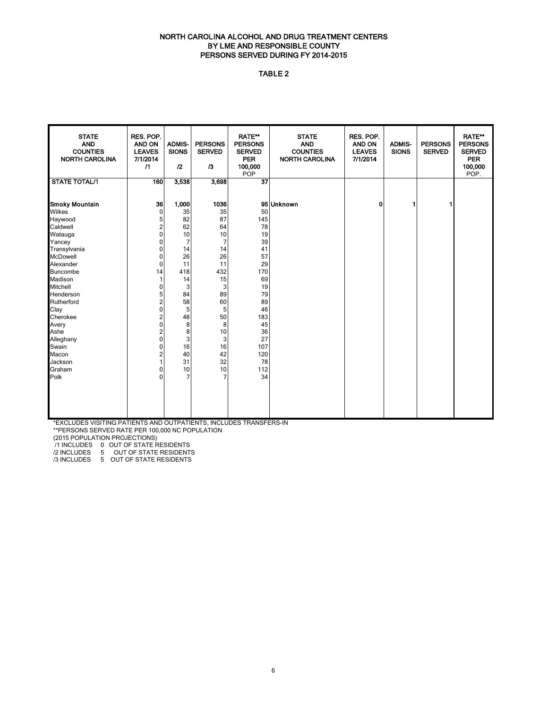#### NORTH CAROLINA ALCOHOL AND DRUG TREATMENT CENTERS BY LME AND RESPONSIBLE COUNTY PERSONS SERVED DURING FY 2014-2015

#### TABLE 2

| <b>STATE</b><br><b>AND</b><br><b>COUNTIES</b><br><b>NORTH CAROLINA</b> | RES. POP.<br>AND ON<br><b>LEAVES</b><br>7/1/2014<br>$\sqrt{1}$ | <b>ADMIS-</b><br><b>SIONS</b><br>12 | <b>PERSONS</b><br><b>SERVED</b><br>/3 | <b>RATE**</b><br><b>PERSONS</b><br><b>SERVED</b><br><b>PER</b><br>100,000<br>POP | <b>STATE</b><br><b>AND</b><br><b>COUNTIES</b><br><b>NORTH CAROLINA</b> | RES. POP.<br>AND ON<br><b>LEAVES</b><br>7/1/2014 | <b>ADMIS-</b><br><b>SIONS</b> | <b>PERSONS</b><br><b>SERVED</b> | <b>RATE**</b><br><b>PERSONS</b><br><b>SERVED</b><br><b>PER</b><br>100,000<br>POP. |
|------------------------------------------------------------------------|----------------------------------------------------------------|-------------------------------------|---------------------------------------|----------------------------------------------------------------------------------|------------------------------------------------------------------------|--------------------------------------------------|-------------------------------|---------------------------------|-----------------------------------------------------------------------------------|
| <b>STATE TOTAL/1</b>                                                   | 160                                                            | 3,538                               | 3,698                                 | $\overline{37}$                                                                  |                                                                        |                                                  |                               |                                 |                                                                                   |
| Smoky Mountain                                                         | 36                                                             | 1,000                               | 1036                                  |                                                                                  | 95 Unknown                                                             | 0                                                | 1                             | 1                               |                                                                                   |
| Wilkes                                                                 | 0                                                              | 35                                  | 35                                    | 50                                                                               |                                                                        |                                                  |                               |                                 |                                                                                   |
| Haywood                                                                | 5                                                              | 82                                  | 87                                    | 145                                                                              |                                                                        |                                                  |                               |                                 |                                                                                   |
| Caldwell                                                               | $\overline{c}$                                                 | 62                                  | 64                                    | 78                                                                               |                                                                        |                                                  |                               |                                 |                                                                                   |
| Watauga                                                                | 0                                                              | 10                                  | 10                                    | 19                                                                               |                                                                        |                                                  |                               |                                 |                                                                                   |
| Yancey                                                                 | 0                                                              | $\overline{7}$                      | $\overline{7}$                        | 39                                                                               |                                                                        |                                                  |                               |                                 |                                                                                   |
| Transylvania                                                           | 0                                                              | 14                                  | 14                                    | 41                                                                               |                                                                        |                                                  |                               |                                 |                                                                                   |
| McDowell                                                               | 0                                                              | 26                                  | 26                                    | 57                                                                               |                                                                        |                                                  |                               |                                 |                                                                                   |
| Alexander                                                              | 0                                                              | 11                                  | 11                                    | 29                                                                               |                                                                        |                                                  |                               |                                 |                                                                                   |
| Buncombe                                                               | 14                                                             | 418                                 | 432                                   | 170                                                                              |                                                                        |                                                  |                               |                                 |                                                                                   |
| Madison                                                                |                                                                | 14                                  | 15                                    | 69                                                                               |                                                                        |                                                  |                               |                                 |                                                                                   |
| Mitchell                                                               | 0                                                              | 3                                   | 3                                     | 19                                                                               |                                                                        |                                                  |                               |                                 |                                                                                   |
| Henderson                                                              | 5                                                              | 84                                  | 89                                    | 79                                                                               |                                                                        |                                                  |                               |                                 |                                                                                   |
| Rutherford                                                             | $\overline{\mathbf{c}}$                                        | 58                                  | 60                                    | 89                                                                               |                                                                        |                                                  |                               |                                 |                                                                                   |
| Clay<br>Cherokee                                                       | 0                                                              | 5<br>48                             | 5                                     | 46                                                                               |                                                                        |                                                  |                               |                                 |                                                                                   |
|                                                                        | 2                                                              | 8                                   | 50                                    | 183<br>45                                                                        |                                                                        |                                                  |                               |                                 |                                                                                   |
| Avery<br>Ashe                                                          | 0<br>2                                                         | 8                                   | 8<br>10                               | 36                                                                               |                                                                        |                                                  |                               |                                 |                                                                                   |
|                                                                        | 0                                                              | 3                                   |                                       | 27                                                                               |                                                                        |                                                  |                               |                                 |                                                                                   |
| Alleghany<br>Swain                                                     | 0                                                              | 16                                  | 3<br>16                               | 107                                                                              |                                                                        |                                                  |                               |                                 |                                                                                   |
| Macon                                                                  | 2                                                              | 40                                  | 42                                    | 120                                                                              |                                                                        |                                                  |                               |                                 |                                                                                   |
| Jackson                                                                |                                                                | 31                                  | 32                                    | 78                                                                               |                                                                        |                                                  |                               |                                 |                                                                                   |
| Graham                                                                 | 0                                                              | 10                                  | 10                                    | 112                                                                              |                                                                        |                                                  |                               |                                 |                                                                                   |
| Polk                                                                   | 0                                                              | $\overline{7}$                      | $\overline{7}$                        | 34                                                                               |                                                                        |                                                  |                               |                                 |                                                                                   |
|                                                                        |                                                                |                                     |                                       |                                                                                  |                                                                        |                                                  |                               |                                 |                                                                                   |
|                                                                        |                                                                |                                     |                                       |                                                                                  |                                                                        |                                                  |                               |                                 |                                                                                   |
|                                                                        |                                                                |                                     |                                       |                                                                                  |                                                                        |                                                  |                               |                                 |                                                                                   |
|                                                                        |                                                                |                                     |                                       |                                                                                  |                                                                        |                                                  |                               |                                 |                                                                                   |
|                                                                        |                                                                |                                     |                                       |                                                                                  |                                                                        |                                                  |                               |                                 |                                                                                   |

\*EXCLUDES VISITING PATIENTS AND OUTPATIENTS, INCLUDES TRANSFERS-IN

\*\*PERSONS SERVED RATE PER 100,000 NC POPULATION

(2015 POPULATION PROJECTIONS)

/1 INCLUDES 0 OUT OF STATE RESIDENTS

/2 INCLUDES 5 OUT OF STATE RESIDENTS /3 INCLUDES 5 OUT OF STATE RESIDENTS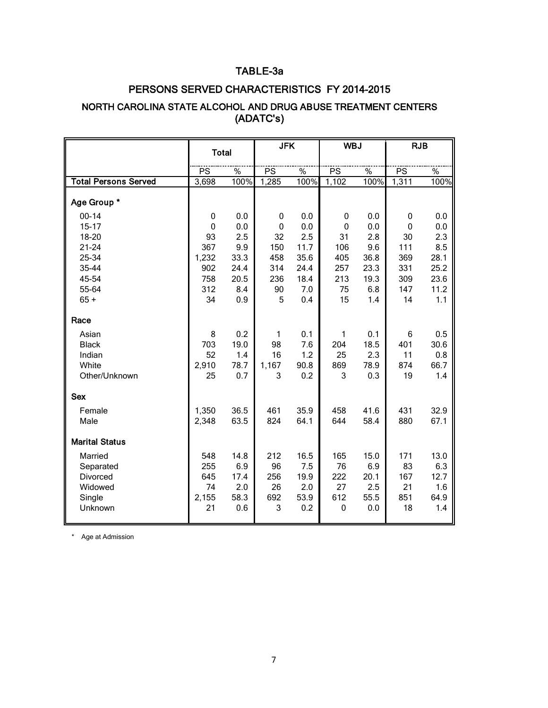## TABLE-3a

## PERSONS SERVED CHARACTERISTICS FY 2014-2015

## NORTH CAROLINA STATE ALCOHOL AND DRUG ABUSE TREATMENT CENTERS (ADATC's)

|                             | <b>Total</b> |                       | <b>JFK</b> |              | <b>WBJ</b>   |                       | <b>RJB</b>   |                       |
|-----------------------------|--------------|-----------------------|------------|--------------|--------------|-----------------------|--------------|-----------------------|
|                             |              |                       |            |              |              |                       |              |                       |
| <b>Total Persons Served</b> | PS           | $\frac{9}{6}$<br>100% | PS         | $\%$<br>100% | PS           | $\frac{1}{2}$<br>100% | PS           | $\frac{1}{2}$<br>100% |
|                             | 3,698        |                       | 1,285      |              | 1,102        |                       | 1,311        |                       |
| Age Group *                 |              |                       |            |              |              |                       |              |                       |
| $00 - 14$                   | 0            | 0.0                   | 0          | 0.0          | 0            | 0.0                   | 0            | 0.0                   |
| $15 - 17$                   | $\mathbf 0$  | 0.0                   | 0          | 0.0          | $\mathbf 0$  | 0.0                   | $\mathbf{0}$ | 0.0                   |
| 18-20                       | 93           | 2.5                   | 32         | 2.5          | 31           | 2.8                   | 30           | 2.3                   |
| $21 - 24$                   | 367          | 9.9                   | 150        | 11.7         | 106          | 9.6                   | 111          | 8.5                   |
| 25-34                       | 1,232        | 33.3                  | 458        | 35.6         | 405          | 36.8                  | 369          | 28.1                  |
| 35-44                       | 902          | 24.4                  | 314        | 24.4         | 257          | 23.3                  | 331          | 25.2                  |
| 45-54                       | 758          | 20.5                  | 236        | 18.4         | 213          | 19.3                  | 309          | 23.6                  |
| 55-64                       | 312          | 8.4                   | 90         | 7.0          | 75           | 6.8                   | 147          | 11.2                  |
| $65 +$                      | 34           | 0.9                   | 5          | 0.4          | 15           | 1.4                   | 14           | 1.1                   |
| Race                        |              |                       |            |              |              |                       |              |                       |
| Asian                       | 8            | 0.2                   | 1          | 0.1          | $\mathbf{1}$ | 0.1                   | 6            | 0.5                   |
| <b>Black</b>                | 703          | 19.0                  | 98         | 7.6          | 204          | 18.5                  | 401          | 30.6                  |
| Indian                      | 52           | 1.4                   | 16         | 1.2          | 25           | 2.3                   | 11           | 0.8                   |
| White                       | 2,910        | 78.7                  | 1,167      | 90.8         | 869          | 78.9                  | 874          | 66.7                  |
| Other/Unknown               | 25           | 0.7                   | 3          | 0.2          | 3            | 0.3                   | 19           | 1.4                   |
| <b>Sex</b>                  |              |                       |            |              |              |                       |              |                       |
| Female                      | 1,350        | 36.5                  | 461        | 35.9         | 458          | 41.6                  | 431          | 32.9                  |
| Male                        | 2,348        | 63.5                  | 824        | 64.1         | 644          | 58.4                  | 880          | 67.1                  |
| <b>Marital Status</b>       |              |                       |            |              |              |                       |              |                       |
| Married                     | 548          | 14.8                  | 212        | 16.5         | 165          | 15.0                  | 171          | 13.0                  |
| Separated                   | 255          | 6.9                   | 96         | 7.5          | 76           | 6.9                   | 83           | 6.3                   |
| Divorced                    | 645          | 17.4                  | 256        | 19.9         | 222          | 20.1                  | 167          | 12.7                  |
| Widowed                     | 74           | 2.0                   | 26         | 2.0          | 27           | 2.5                   | 21           | 1.6                   |
| Single                      | 2,155        | 58.3                  | 692        | 53.9         | 612          | 55.5                  | 851          | 64.9                  |
| Unknown                     | 21           | 0.6                   | 3          | 0.2          | 0            | 0.0                   | 18           | 1.4                   |
|                             |              |                       |            |              |              |                       |              |                       |

\* Age at Admission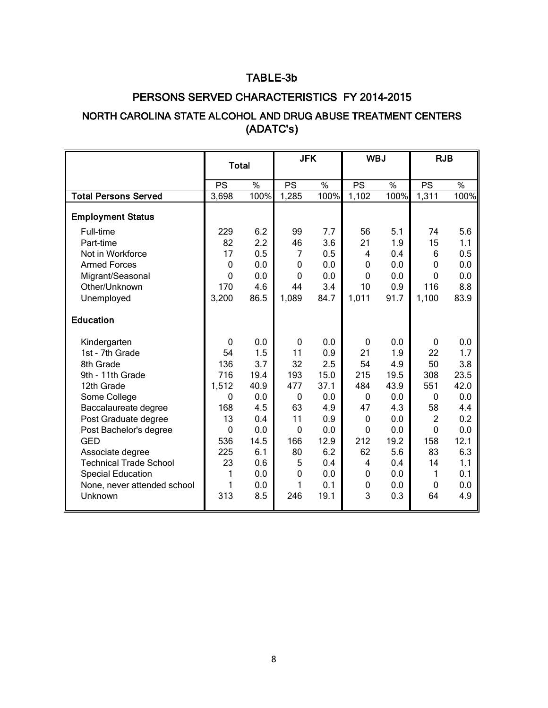# TABLE-3b

# PERSONS SERVED CHARACTERISTICS FY 2014-2015

# NORTH CAROLINA STATE ALCOHOL AND DRUG ABUSE TREATMENT CENTERS (ADATC's)

|                               | <b>Total</b> |               |             | <b>JFK</b>    |             | <b>WBJ</b>    | <b>RJB</b>     |               |
|-------------------------------|--------------|---------------|-------------|---------------|-------------|---------------|----------------|---------------|
|                               |              |               |             |               |             |               |                |               |
|                               | PS           | $\frac{1}{2}$ | PS          | $\frac{0}{2}$ | PS          | $\frac{1}{2}$ | PS             | $\frac{8}{6}$ |
| <b>Total Persons Served</b>   | 3,698        | 100%          | 1,285       | 100%          | 1,102       | 100%          | 1,311          | 100%          |
| <b>Employment Status</b>      |              |               |             |               |             |               |                |               |
| Full-time                     | 229          | 6.2           | 99          | 7.7           | 56          | 5.1           | 74             | 5.6           |
| Part-time                     | 82           | 2.2           | 46          | 3.6           | 21          | 1.9           | 15             | 1.1           |
| Not in Workforce              | 17           | 0.5           | 7           | 0.5           | 4           | 0.4           | 6              | 0.5           |
| <b>Armed Forces</b>           | $\Omega$     | 0.0           | 0           | 0.0           | 0           | 0.0           | $\mathbf 0$    | 0.0           |
| Migrant/Seasonal              | 0            | 0.0           | $\mathbf 0$ | 0.0           | 0           | 0.0           | $\mathbf 0$    | 0.0           |
| Other/Unknown                 | 170          | 4.6           | 44          | 3.4           | 10          | 0.9           | 116            | 8.8           |
| Unemployed                    | 3,200        | 86.5          | 1,089       | 84.7          | 1,011       | 91.7          | 1,100          | 83.9          |
| <b>Education</b>              |              |               |             |               |             |               |                |               |
| Kindergarten                  | $\Omega$     | 0.0           | 0           | 0.0           | $\mathbf 0$ | 0.0           | $\mathbf 0$    | 0.0           |
| 1st - 7th Grade               | 54           | 1.5           | 11          | 0.9           | 21          | 1.9           | 22             | 1.7           |
| 8th Grade                     | 136          | 3.7           | 32          | 2.5           | 54          | 4.9           | 50             | 3.8           |
| 9th - 11th Grade              | 716          | 19.4          | 193         | 15.0          | 215         | 19.5          | 308            | 23.5          |
| 12th Grade                    | 1,512        | 40.9          | 477         | 37.1          | 484         | 43.9          | 551            | 42.0          |
| Some College                  | $\mathbf{0}$ | 0.0           | 0           | 0.0           | $\mathbf 0$ | 0.0           | $\mathbf 0$    | 0.0           |
| Baccalaureate degree          | 168          | 4.5           | 63          | 4.9           | 47          | 4.3           | 58             | 4.4           |
| Post Graduate degree          | 13           | 0.4           | 11          | 0.9           | 0           | 0.0           | $\overline{2}$ | 0.2           |
| Post Bachelor's degree        | $\Omega$     | 0.0           | $\mathbf 0$ | 0.0           | $\Omega$    | 0.0           | $\mathbf{0}$   | 0.0           |
| <b>GED</b>                    | 536          | 14.5          | 166         | 12.9          | 212         | 19.2          | 158            | 12.1          |
| Associate degree              | 225          | 6.1           | 80          | 6.2           | 62          | 5.6           | 83             | 6.3           |
| <b>Technical Trade School</b> | 23           | 0.6           | 5           | 0.4           | 4           | 0.4           | 14             | 1.1           |
| <b>Special Education</b>      | 1            | 0.0           | 0           | 0.0           | 0           | 0.0           | 1              | 0.1           |
| None, never attended school   | 1            | 0.0           | 1           | 0.1           | $\mathbf 0$ | 0.0           | $\mathbf 0$    | 0.0           |
| Unknown                       | 313          | 8.5           | 246         | 19.1          | 3           | 0.3           | 64             | 4.9           |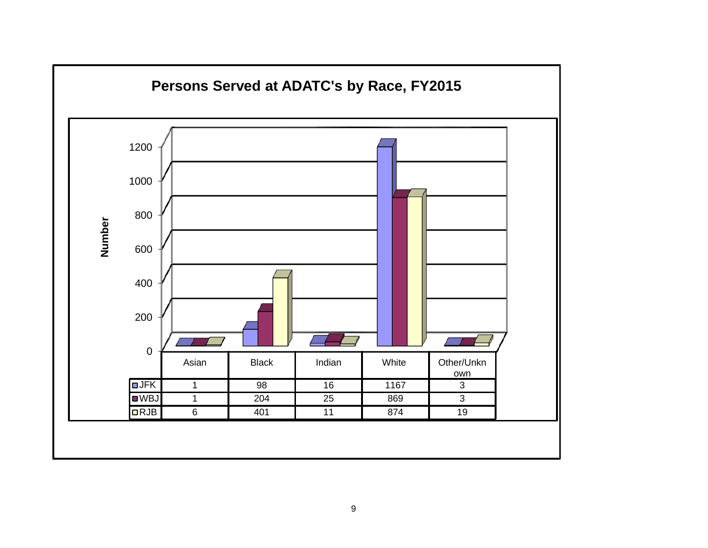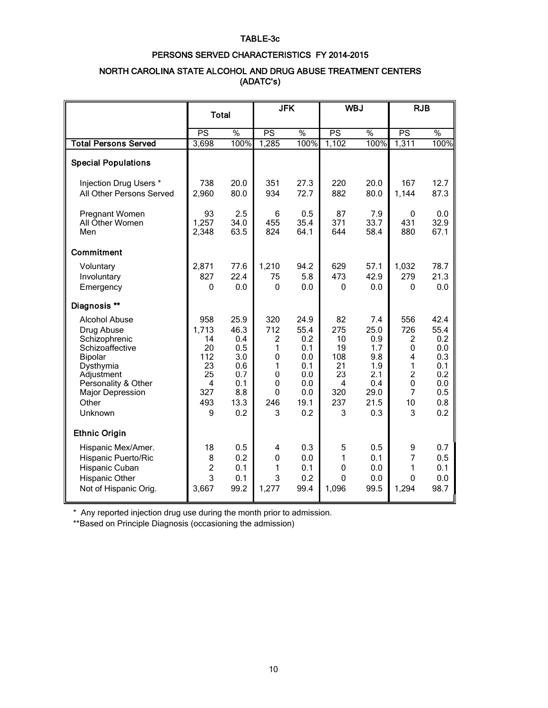#### TABLE-3c

#### PERSONS SERVED CHARACTERISTICS FY 2014-2015

#### NORTH CAROLINA STATE ALCOHOL AND DRUG ABUSE TREATMENT CENTERS (ADATC's)

|                                                                                                                                                                                    | <b>Total</b>                                                        |                                                                              |                                                                                                        | <b>JFK</b>                                                                   |                                                                  | <b>WBJ</b>                                                                   |                                                                                  | <b>RJB</b>                                                                  |  |
|------------------------------------------------------------------------------------------------------------------------------------------------------------------------------------|---------------------------------------------------------------------|------------------------------------------------------------------------------|--------------------------------------------------------------------------------------------------------|------------------------------------------------------------------------------|------------------------------------------------------------------|------------------------------------------------------------------------------|----------------------------------------------------------------------------------|-----------------------------------------------------------------------------|--|
|                                                                                                                                                                                    | PS                                                                  | $\%$                                                                         | PS                                                                                                     | $\frac{0}{0}$                                                                | $\overline{\mathsf{PS}}$                                         | $\frac{0}{2}$                                                                | PS                                                                               | $\frac{0}{2}$                                                               |  |
| <b>Total Persons Served</b>                                                                                                                                                        | 3,698                                                               | 100%                                                                         | 1,285                                                                                                  | 100%                                                                         | 1,102                                                            | 100%                                                                         | 1,311                                                                            | 100%                                                                        |  |
| <b>Special Populations</b>                                                                                                                                                         |                                                                     |                                                                              |                                                                                                        |                                                                              |                                                                  |                                                                              |                                                                                  |                                                                             |  |
| Injection Drug Users *<br>All Other Persons Served                                                                                                                                 | 738<br>2,960                                                        | 20.0<br>80.0                                                                 | 351<br>934                                                                                             | 27.3<br>72.7                                                                 | 220<br>882                                                       | 20.0<br>80.0                                                                 | 167<br>1,144                                                                     | 12.7<br>87.3                                                                |  |
| Pregnant Women<br>All Other Women<br>Men                                                                                                                                           | 93<br>1,257<br>2,348                                                | 2.5<br>34.0<br>63.5                                                          | 6<br>455<br>824                                                                                        | 0.5<br>35.4<br>64.1                                                          | 87<br>371<br>644                                                 | 7.9<br>33.7<br>58.4                                                          | $\mathbf{0}$<br>431<br>880                                                       | 0.0<br>32.9<br>67.1                                                         |  |
| Commitment                                                                                                                                                                         |                                                                     |                                                                              |                                                                                                        |                                                                              |                                                                  |                                                                              |                                                                                  |                                                                             |  |
| Voluntary<br>Involuntary<br>Emergency                                                                                                                                              | 2,871<br>827<br>$\Omega$                                            | 77.6<br>22.4<br>0.0                                                          | 1,210<br>75<br>$\mathbf{0}$                                                                            | 94.2<br>5.8<br>0.0                                                           | 629<br>473<br>$\mathbf{0}$                                       | 57.1<br>42.9<br>0.0                                                          | 1,032<br>279<br>$\mathbf{0}$                                                     | 78.7<br>21.3<br>0.0                                                         |  |
| Diagnosis **                                                                                                                                                                       |                                                                     |                                                                              |                                                                                                        |                                                                              |                                                                  |                                                                              |                                                                                  |                                                                             |  |
| <b>Alcohol Abuse</b><br>Drug Abuse<br>Schizophrenic<br>Schizoaffective<br>Bipolar<br>Dysthymia<br>Adjustment<br>Personality & Other<br><b>Major Depression</b><br>Other<br>Unknown | 958<br>1,713<br>14<br>20<br>112<br>23<br>25<br>4<br>327<br>493<br>9 | 25.9<br>46.3<br>0.4<br>0.5<br>3.0<br>0.6<br>0.7<br>0.1<br>8.8<br>13.3<br>0.2 | 320<br>712<br>$\overline{2}$<br>1<br>$\mathbf 0$<br>1<br>$\mathbf{0}$<br>0<br>$\mathbf{0}$<br>246<br>3 | 24.9<br>55.4<br>0.2<br>0.1<br>0.0<br>0.1<br>0.0<br>0.0<br>0.0<br>19.1<br>0.2 | 82<br>275<br>10<br>19<br>108<br>21<br>23<br>4<br>320<br>237<br>3 | 7.4<br>25.0<br>0.9<br>1.7<br>9.8<br>1.9<br>2.1<br>0.4<br>29.0<br>21.5<br>0.3 | 556<br>726<br>2<br>$\mathbf{0}$<br>4<br>1<br>$\overline{2}$<br>0<br>7<br>10<br>3 | 42.4<br>55.4<br>0.2<br>0.0<br>0.3<br>0.1<br>0.2<br>0.0<br>0.5<br>0.8<br>0.2 |  |
| <b>Ethnic Origin</b>                                                                                                                                                               |                                                                     |                                                                              |                                                                                                        |                                                                              |                                                                  |                                                                              |                                                                                  |                                                                             |  |
| Hispanic Mex/Amer.<br>Hispanic Puerto/Ric<br>Hispanic Cuban<br>Hispanic Other<br>Not of Hispanic Orig.                                                                             | 18<br>8<br>$\overline{2}$<br>3<br>3,667                             | 0.5<br>0.2<br>0.1<br>0.1<br>99.2                                             | 4<br>$\mathbf 0$<br>1<br>3<br>1,277                                                                    | 0.3<br>0.0<br>0.1<br>0.2<br>99.4                                             | 5<br>1<br>$\mathbf 0$<br>$\mathbf{0}$<br>1,096                   | 0.5<br>0.1<br>0.0<br>0.0<br>99.5                                             | 9<br>7<br>1<br>0<br>1,294                                                        | 0.7<br>0.5<br>0.1<br>0.0<br>98.7                                            |  |

\* Any reported injection drug use during the month prior to admission.

\*\*Based on Principle Diagnosis (occasioning the admission)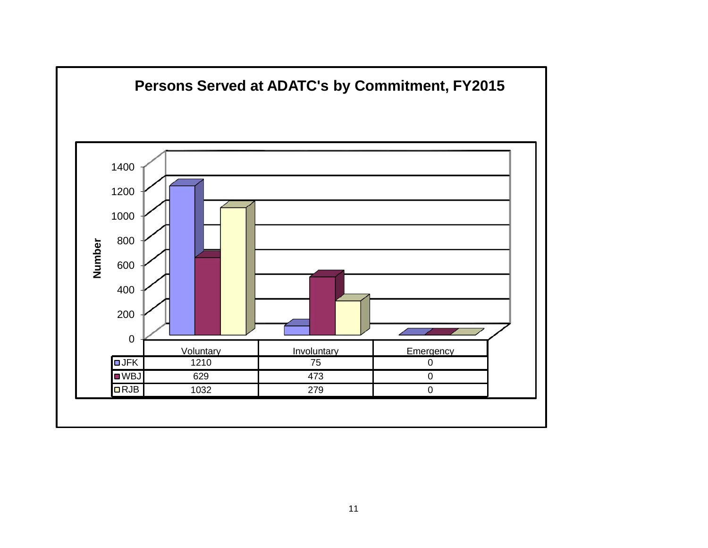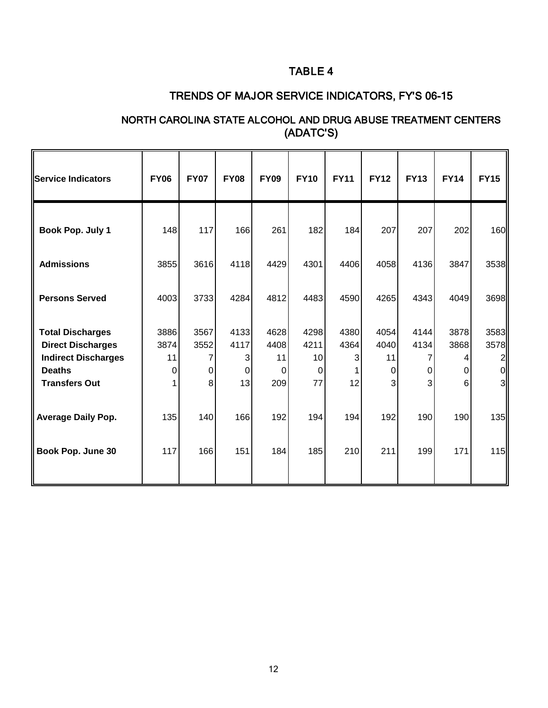# TABLE 4

# TRENDS OF MAJOR SERVICE INDICATORS, FY'S 06-15

## NORTH CAROLINA STATE ALCOHOL AND DRUG ABUSE TREATMENT CENTERS (ADATC'S)

| Service Indicators                                                                                                         | <b>FY06</b>             | <b>FY07</b>                 | <b>FY08</b>                  | <b>FY09</b>                    | <b>FY10</b>                             | <b>FY11</b>             | <b>FY12</b>                  | <b>FY13</b>            | <b>FY14</b>                 | <b>FY15</b>                    |
|----------------------------------------------------------------------------------------------------------------------------|-------------------------|-----------------------------|------------------------------|--------------------------------|-----------------------------------------|-------------------------|------------------------------|------------------------|-----------------------------|--------------------------------|
| Book Pop. July 1                                                                                                           | 148                     | 117                         | 166                          | 261                            | 182                                     | 184                     | 207                          | 207                    | 202                         | 160                            |
| <b>Admissions</b>                                                                                                          | 3855                    | 3616                        | 4118                         | 4429                           | 4301                                    | 4406                    | 4058                         | 4136                   | 3847                        | 3538                           |
| <b>Persons Served</b>                                                                                                      | 4003                    | 3733                        | 4284                         | 4812                           | 4483                                    | 4590                    | 4265                         | 4343                   | 4049                        | 3698                           |
| <b>Total Discharges</b><br><b>Direct Discharges</b><br><b>Indirect Discharges</b><br><b>Deaths</b><br><b>Transfers Out</b> | 3886<br>3874<br>11<br>0 | 3567<br>3552<br>7<br>0<br>8 | 4133<br>4117<br>3<br>0<br>13 | 4628<br>4408<br>11<br>0<br>209 | 4298<br>4211<br>10<br>$\mathbf 0$<br>77 | 4380<br>4364<br>3<br>12 | 4054<br>4040<br>11<br>0<br>3 | 4144<br>4134<br>0<br>3 | 3878<br>3868<br>4<br>0<br>6 | 3583<br>3578<br>2 <br>ΩI<br>31 |
| <b>Average Daily Pop.</b>                                                                                                  | 135                     | 140                         | 166                          | 192                            | 194                                     | 194                     | 192                          | 190                    | 190                         | 135                            |
| Book Pop. June 30                                                                                                          | 117                     | 166                         | 151                          | 184                            | 185                                     | 210                     | 211                          | 199                    | 171                         | 115                            |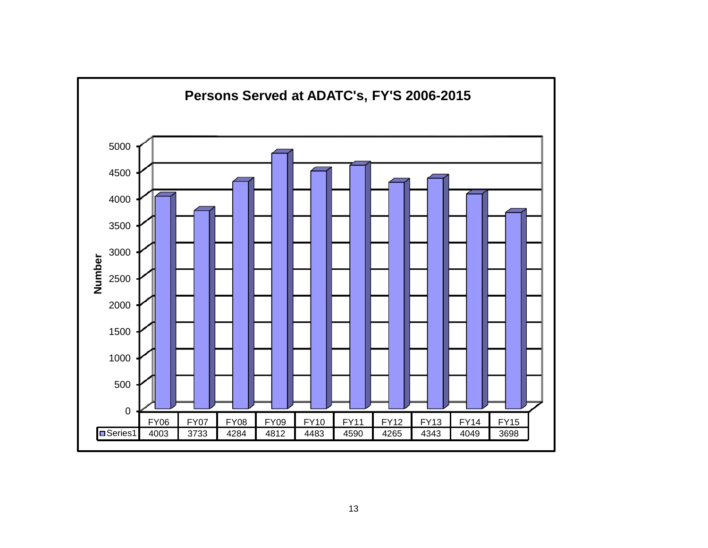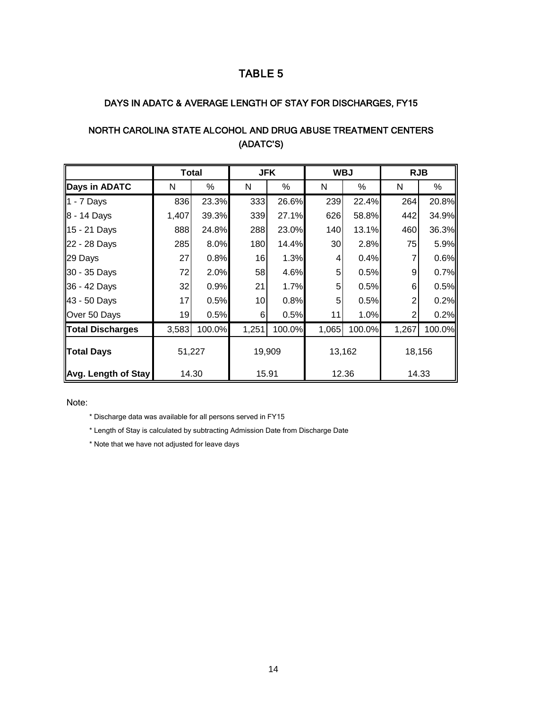### TABLE 5

#### DAYS IN ADATC & AVERAGE LENGTH OF STAY FOR DISCHARGES, FY15

|                         | <b>Total</b> |        |       | <b>JFK</b> | <b>WBJ</b> |        | <b>RJB</b> |        |  |  |  |
|-------------------------|--------------|--------|-------|------------|------------|--------|------------|--------|--|--|--|
| Days in ADATC           | N            | %      | N     | %          | N          | %      | N          | %      |  |  |  |
| 1 - 7 Days              | 836          | 23.3%  | 333   | 26.6%      | 239        | 22.4%  | 264        | 20.8%  |  |  |  |
| 8 - 14 Days             | 1,407        | 39.3%  | 339   | 27.1%      | 626        | 58.8%  | 442        | 34.9%  |  |  |  |
| 15 - 21 Days            | 888          | 24.8%  | 288   | 23.0%      | 140        | 13.1%  | 460        | 36.3%  |  |  |  |
| 22 - 28 Days            | 285          | 8.0%   | 180   | 14.4%      | 30         | 2.8%   | 75         | 5.9%   |  |  |  |
| 29 Days                 | 27           | 0.8%   | 16    | 1.3%       | 4          | 0.4%   |            | 0.6%   |  |  |  |
| 30 - 35 Days            | 72           | 2.0%   | 58    | 4.6%       | 5          | 0.5%   | 9          | 0.7%   |  |  |  |
| 36 - 42 Days            | 32           | 0.9%   | 21    | 1.7%       | 5          | 0.5%   | 6          | 0.5%   |  |  |  |
| 43 - 50 Days            | 17           | 0.5%   | 10    | 0.8%       | 5          | 0.5%   | 2          | 0.2%   |  |  |  |
| Over 50 Days            | 19           | 0.5%   | 6     | 0.5%       | 11         | 1.0%   | 2          | 0.2%   |  |  |  |
| <b>Total Discharges</b> | 3,583        | 100.0% | 1,251 | 100.0%     | 1,065      | 100.0% | 1,267      | 100.0% |  |  |  |
| <b>Total Days</b>       | 51,227       |        |       | 19,909     |            | 13,162 | 18,156     |        |  |  |  |
| Avg. Length of Stay     | 14.30        |        | 15.91 |            |            | 12.36  |            | 14.33  |  |  |  |

# NORTH CAROLINA STATE ALCOHOL AND DRUG ABUSE TREATMENT CENTERS (ADATC'S)

Note:

\* Discharge data was available for all persons served in FY15

\* Length of Stay is calculated by subtracting Admission Date from Discharge Date

\* Note that we have not adjusted for leave days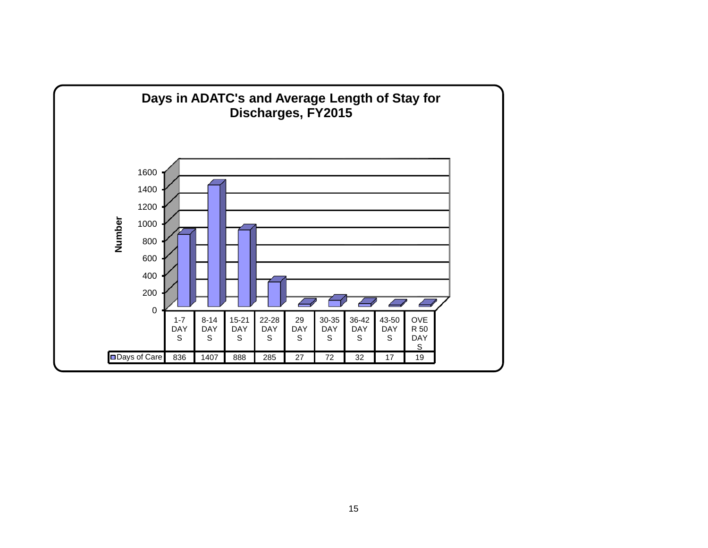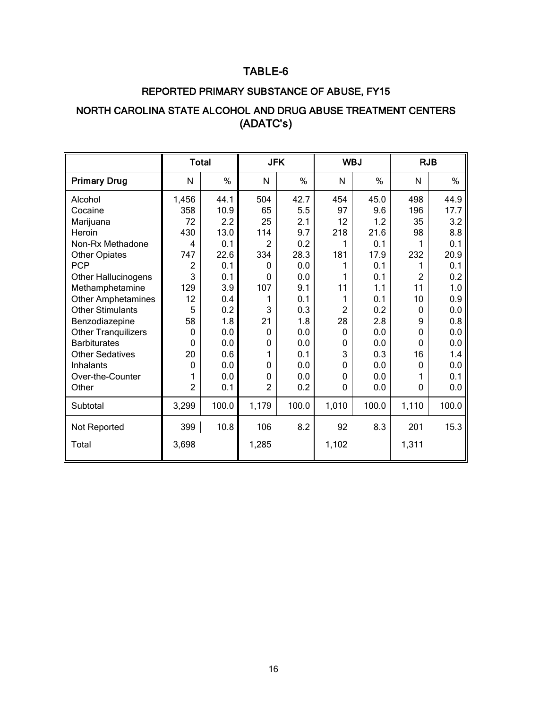# TABLE-6

## REPORTED PRIMARY SUBSTANCE OF ABUSE, FY15

# NORTH CAROLINA STATE ALCOHOL AND DRUG ABUSE TREATMENT CENTERS (ADATC's)

|                |       | <b>JFK</b>   |                |                |       | <b>RJB</b>     |         |  |
|----------------|-------|--------------|----------------|----------------|-------|----------------|---------|--|
| N              | %     | N            | %              | N              | %     | N              | %       |  |
| 1,456          | 44.1  | 504          | 42.7           | 454            | 45.0  | 498            | 44.9    |  |
| 358            | 10.9  | 65           | 5.5            | 97             | 9.6   | 196            | 17.7    |  |
| 72             | 2.2   | 25           | 2.1            | 12             | 1.2   | 35             | 3.2     |  |
| 430            | 13.0  | 114          | 9.7            | 218            | 21.6  | 98             | 8.8     |  |
| 4              | 0.1   | 2            | 0.2            | 1              | 0.1   | 1              | 0.1     |  |
| 747            | 22.6  | 334          | 28.3           | 181            | 17.9  | 232            | 20.9    |  |
| 2              | 0.1   | 0            | 0.0            |                | 0.1   | 1              | 0.1     |  |
| 3              | 0.1   | $\Omega$     | 0.0            | 1              | 0.1   | $\overline{2}$ | 0.2     |  |
| 129            | 3.9   | 107          | 9.1            | 11             | 1.1   | 11             | 1.0     |  |
| 12             | 0.4   |              | 0.1            | 1              | 0.1   | 10             | 0.9     |  |
| 5              | 0.2   | 3            | 0.3            | $\overline{2}$ | 0.2   | 0              | 0.0     |  |
| 58             | 1.8   | 21           | 1.8            | 28             | 2.8   | 9              | 0.8     |  |
| $\mathbf{0}$   | 0.0   | $\mathbf{0}$ | 0.0            | 0              | 0.0   | 0              | 0.0     |  |
| $\Omega$       | 0.0   | 0            | 0.0            | 0              | 0.0   | $\Omega$       | $0.0\,$ |  |
| 20             | 0.6   |              | 0.1            | 3              | 0.3   | 16             | 1.4     |  |
| $\mathbf{0}$   | 0.0   | 0            | 0.0            | 0              | 0.0   | 0              | 0.0     |  |
|                | 0.0   | 0            | 0.0            | 0              | 0.0   | 1              | 0.1     |  |
| $\overline{2}$ | 0.1   |              | 0.2            | 0              | 0.0   | 0              | 0.0     |  |
| 3,299          | 100.0 | 1,179        | 100.0          | 1,010          | 100.0 | 1,110          | 100.0   |  |
| 399            | 10.8  | 106          | 8.2            | 92             | 8.3   | 201            | 15.3    |  |
| 3,698          |       | 1,285        |                | 1,102          |       | 1,311          |         |  |
|                |       | <b>Total</b> | $\overline{c}$ |                |       | <b>WBJ</b>     |         |  |